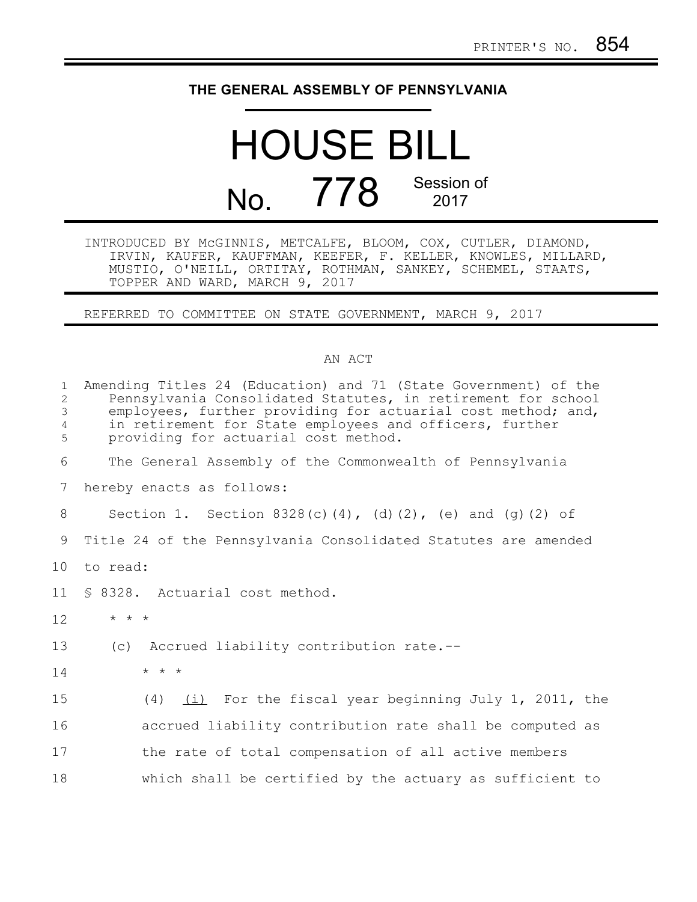## **THE GENERAL ASSEMBLY OF PENNSYLVANIA**

## HOUSE BILL No. 778 Session of 2017

INTRODUCED BY McGINNIS, METCALFE, BLOOM, COX, CUTLER, DIAMOND, IRVIN, KAUFER, KAUFFMAN, KEEFER, F. KELLER, KNOWLES, MILLARD, MUSTIO, O'NEILL, ORTITAY, ROTHMAN, SANKEY, SCHEMEL, STAATS, TOPPER AND WARD, MARCH 9, 2017

REFERRED TO COMMITTEE ON STATE GOVERNMENT, MARCH 9, 2017

## AN ACT

| $\mathbf{1}$<br>2<br>3<br>4<br>5 | Amending Titles 24 (Education) and 71 (State Government) of the<br>Pennsylvania Consolidated Statutes, in retirement for school<br>employees, further providing for actuarial cost method; and,<br>in retirement for State employees and officers, further<br>providing for actuarial cost method. |  |  |
|----------------------------------|----------------------------------------------------------------------------------------------------------------------------------------------------------------------------------------------------------------------------------------------------------------------------------------------------|--|--|
| 6                                | The General Assembly of the Commonwealth of Pennsylvania                                                                                                                                                                                                                                           |  |  |
| 7                                | hereby enacts as follows:                                                                                                                                                                                                                                                                          |  |  |
| 8                                | Section 1. Section 8328(c)(4), (d)(2), (e) and (g)(2) of                                                                                                                                                                                                                                           |  |  |
| 9                                | Title 24 of the Pennsylvania Consolidated Statutes are amended                                                                                                                                                                                                                                     |  |  |
| 10 <sub>o</sub>                  | to read:                                                                                                                                                                                                                                                                                           |  |  |
| 11                               | § 8328. Actuarial cost method.                                                                                                                                                                                                                                                                     |  |  |
| 12                               | $\star$ $\star$ $\star$                                                                                                                                                                                                                                                                            |  |  |
| 13                               | (c) Accrued liability contribution rate.--                                                                                                                                                                                                                                                         |  |  |
| 14                               | $\star$ $\star$ $\star$                                                                                                                                                                                                                                                                            |  |  |
| 15                               | (i) For the fiscal year beginning July 1, 2011, the<br>(4)                                                                                                                                                                                                                                         |  |  |
| 16                               | accrued liability contribution rate shall be computed as                                                                                                                                                                                                                                           |  |  |
| 17                               | the rate of total compensation of all active members                                                                                                                                                                                                                                               |  |  |
| 18                               | which shall be certified by the actuary as sufficient to                                                                                                                                                                                                                                           |  |  |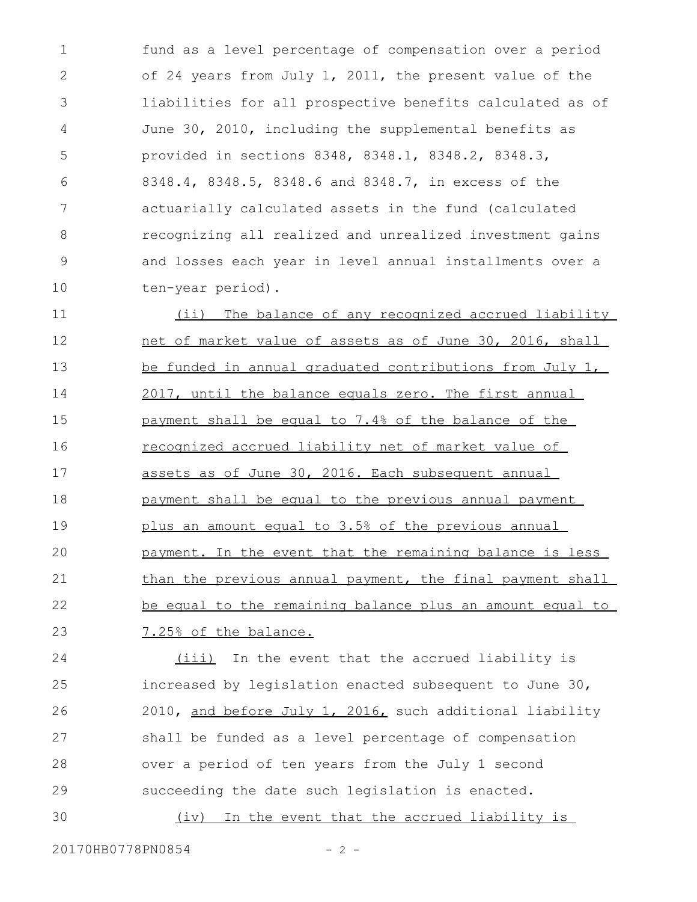fund as a level percentage of compensation over a period of 24 years from July 1, 2011, the present value of the liabilities for all prospective benefits calculated as of June 30, 2010, including the supplemental benefits as provided in sections 8348, 8348.1, 8348.2, 8348.3, 8348.4, 8348.5, 8348.6 and 8348.7, in excess of the actuarially calculated assets in the fund (calculated recognizing all realized and unrealized investment gains and losses each year in level annual installments over a ten-year period). 1 2 3 4 5 6 7 8 9 10

(ii) The balance of any recognized accrued liability net of market value of assets as of June 30, 2016, shall be funded in annual graduated contributions from July 1, 2017, until the balance equals zero. The first annual payment shall be equal to 7.4% of the balance of the recognized accrued liability net of market value of assets as of June 30, 2016. Each subsequent annual payment shall be equal to the previous annual payment plus an amount equal to 3.5% of the previous annual payment. In the event that the remaining balance is less than the previous annual payment, the final payment shall be equal to the remaining balance plus an amount equal to 7.25% of the balance. 11 12 13 14 15 16 17 18 19 20 21 22 23

(iii) In the event that the accrued liability is increased by legislation enacted subsequent to June 30, 2010, and before July 1, 2016, such additional liability shall be funded as a level percentage of compensation over a period of ten years from the July 1 second succeeding the date such legislation is enacted. (iv) In the event that the accrued liability is 24 25 26 27 28 29 30

20170HB0778PN0854 - 2 -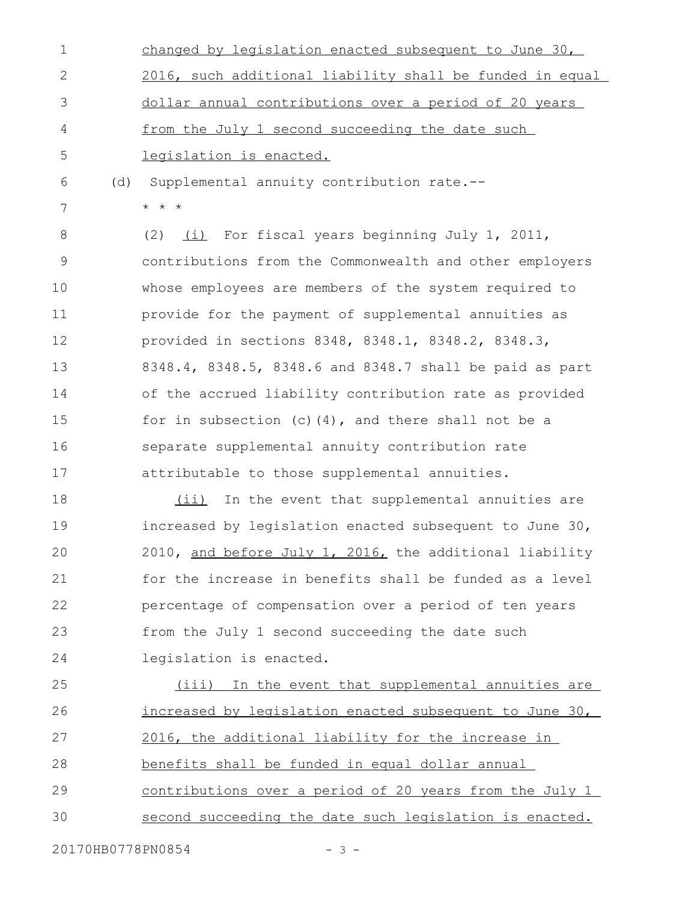| 1  |     | changed by legislation enacted subsequent to June 30,    |
|----|-----|----------------------------------------------------------|
| 2  |     | 2016, such additional liability shall be funded in equal |
| 3  |     | dollar annual contributions over a period of 20 years    |
| 4  |     | from the July 1 second succeeding the date such          |
| 5  |     | legislation is enacted.                                  |
| 6  | (d) | Supplemental annuity contribution rate.--                |
| 7  |     | $\star$ $\star$ $\star$                                  |
| 8  |     | (i) For fiscal years beginning July 1, 2011,<br>(2)      |
| 9  |     | contributions from the Commonwealth and other employers  |
| 10 |     | whose employees are members of the system required to    |
| 11 |     | provide for the payment of supplemental annuities as     |
| 12 |     | provided in sections 8348, 8348.1, 8348.2, 8348.3,       |
| 13 |     | 8348.4, 8348.5, 8348.6 and 8348.7 shall be paid as part  |
| 14 |     | of the accrued liability contribution rate as provided   |
| 15 |     | for in subsection $(c)$ $(4)$ , and there shall not be a |
| 16 |     | separate supplemental annuity contribution rate          |
| 17 |     | attributable to those supplemental annuities.            |
| 18 |     | In the event that supplemental annuities are<br>$(i$ ii) |
| 19 |     | increased by legislation enacted subsequent to June 30,  |
| 20 |     | 2010, and before July 1, 2016, the additional liability  |
| 21 |     | for the increase in benefits shall be funded as a level  |
| 22 |     | percentage of compensation over a period of ten years    |
| 23 |     | from the July 1 second succeeding the date such          |
| 24 |     | legislation is enacted.                                  |
| 25 |     | (iii) In the event that supplemental annuities are       |
| 26 |     | increased by legislation enacted subsequent to June 30,  |
| 27 |     | 2016, the additional liability for the increase in       |
| 28 |     | benefits shall be funded in equal dollar annual          |
| 29 |     | contributions over a period of 20 years from the July 1  |
| 30 |     | second succeeding the date such legislation is enacted.  |
|    |     |                                                          |

20170HB0778PN0854 - 3 -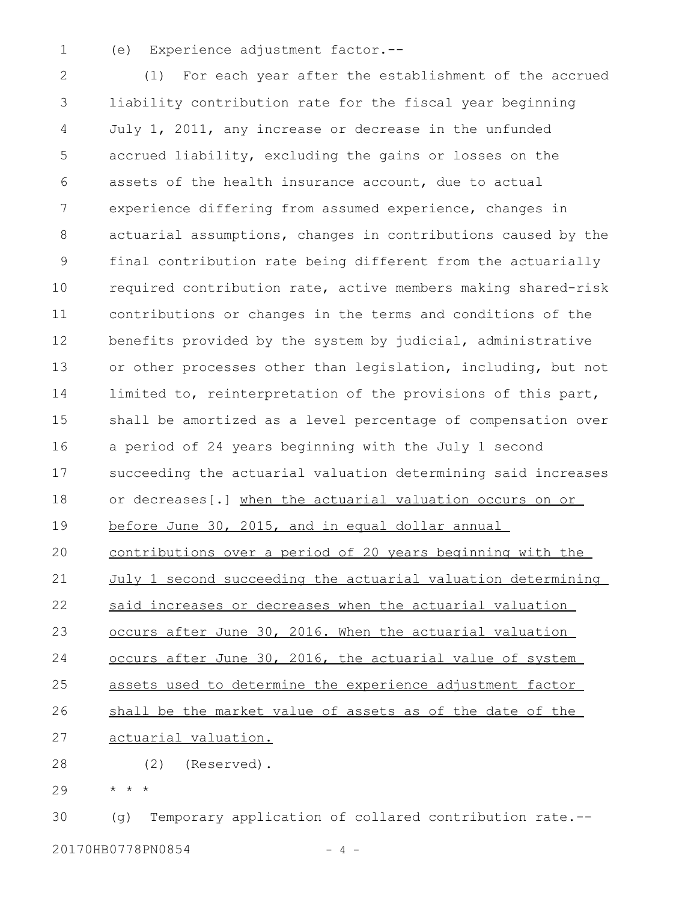(e) Experience adjustment factor.-- 1

(1) For each year after the establishment of the accrued liability contribution rate for the fiscal year beginning July 1, 2011, any increase or decrease in the unfunded accrued liability, excluding the gains or losses on the assets of the health insurance account, due to actual experience differing from assumed experience, changes in actuarial assumptions, changes in contributions caused by the final contribution rate being different from the actuarially required contribution rate, active members making shared-risk contributions or changes in the terms and conditions of the benefits provided by the system by judicial, administrative or other processes other than legislation, including, but not limited to, reinterpretation of the provisions of this part, shall be amortized as a level percentage of compensation over a period of 24 years beginning with the July 1 second succeeding the actuarial valuation determining said increases or decreases[.] when the actuarial valuation occurs on or before June 30, 2015, and in equal dollar annual contributions over a period of 20 years beginning with the July 1 second succeeding the actuarial valuation determining said increases or decreases when the actuarial valuation occurs after June 30, 2016. When the actuarial valuation occurs after June 30, 2016, the actuarial value of system assets used to determine the experience adjustment factor shall be the market value of assets as of the date of the actuarial valuation. (2) (Reserved). \* \* \* (g) Temporary application of collared contribution rate.-- 2 3 4 5 6 7 8 9 10 11 12 13 14 15 16 17 18 19 20 21 22 23 24 25 26 27 28 29 30

20170HB0778PN0854 - 4 -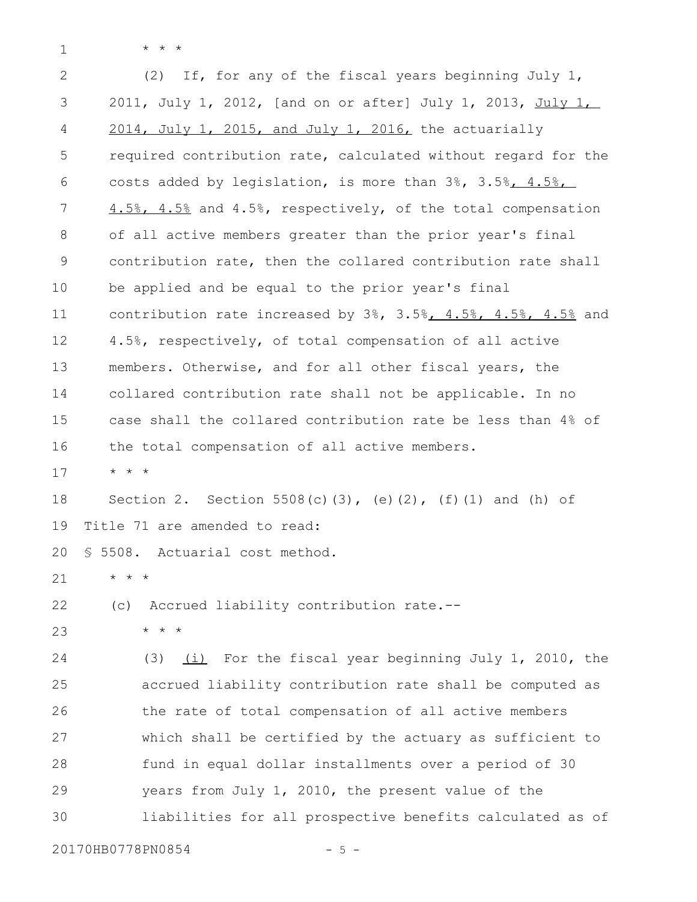\* \* \*

1

(2) If, for any of the fiscal years beginning July 1, 2011, July 1, 2012, [and on or after] July 1, 2013, July 1, 2014, July 1, 2015, and July 1, 2016, the actuarially required contribution rate, calculated without regard for the costs added by legislation, is more than 3%, 3.5%, 4.5%, 4.5%, 4.5% and 4.5%, respectively, of the total compensation of all active members greater than the prior year's final contribution rate, then the collared contribution rate shall be applied and be equal to the prior year's final contribution rate increased by  $3\%$ ,  $3.5\%$ ,  $4.5\%$ ,  $4.5\%$ ,  $4.5\%$  and 4.5%, respectively, of total compensation of all active members. Otherwise, and for all other fiscal years, the collared contribution rate shall not be applicable. In no case shall the collared contribution rate be less than 4% of the total compensation of all active members. \* \* \* Section 2. Section 5508(c)(3), (e)(2), (f)(1) and (h) of Title 71 are amended to read: § 5508. Actuarial cost method. \* \* \* (c) Accrued liability contribution rate.-- \* \* \* (3) (i) For the fiscal year beginning July 1, 2010, the accrued liability contribution rate shall be computed as the rate of total compensation of all active members which shall be certified by the actuary as sufficient to fund in equal dollar installments over a period of 30 years from July 1, 2010, the present value of the liabilities for all prospective benefits calculated as of 2 3 4 5 6 7 8 9 10 11 12 13 14 15 16 17 18 19 20 21 22 23 24 25 26 27 28 29 30

20170HB0778PN0854 - 5 -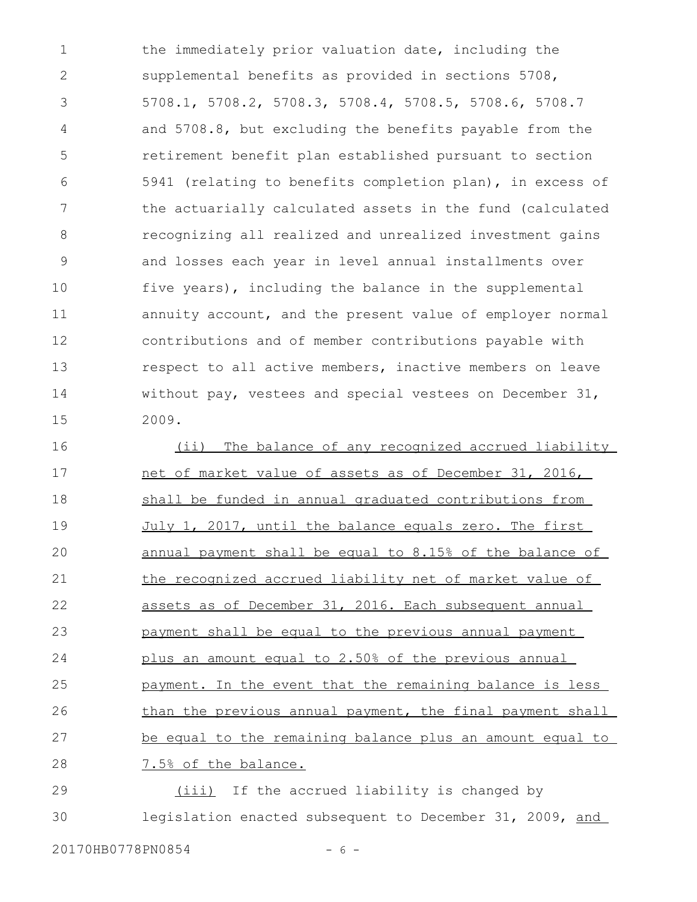the immediately prior valuation date, including the supplemental benefits as provided in sections 5708, 5708.1, 5708.2, 5708.3, 5708.4, 5708.5, 5708.6, 5708.7 and 5708.8, but excluding the benefits payable from the retirement benefit plan established pursuant to section 5941 (relating to benefits completion plan), in excess of the actuarially calculated assets in the fund (calculated recognizing all realized and unrealized investment gains and losses each year in level annual installments over five years), including the balance in the supplemental annuity account, and the present value of employer normal contributions and of member contributions payable with respect to all active members, inactive members on leave without pay, vestees and special vestees on December 31, 2009. 1 2 3 4 5 6 7 8 9 10 11 12 13 14 15

(ii) The balance of any recognized accrued liability net of market value of assets as of December 31, 2016, shall be funded in annual graduated contributions from July 1, 2017, until the balance equals zero. The first annual payment shall be equal to 8.15% of the balance of the recognized accrued liability net of market value of assets as of December 31, 2016. Each subsequent annual payment shall be equal to the previous annual payment plus an amount equal to 2.50% of the previous annual payment. In the event that the remaining balance is less than the previous annual payment, the final payment shall be equal to the remaining balance plus an amount equal to 7.5% of the balance. 16 17 18 19 20 21 22 23 24 25 26 27 28

(iii) If the accrued liability is changed by legislation enacted subsequent to December 31, 2009, and 29 30

20170HB0778PN0854 - 6 -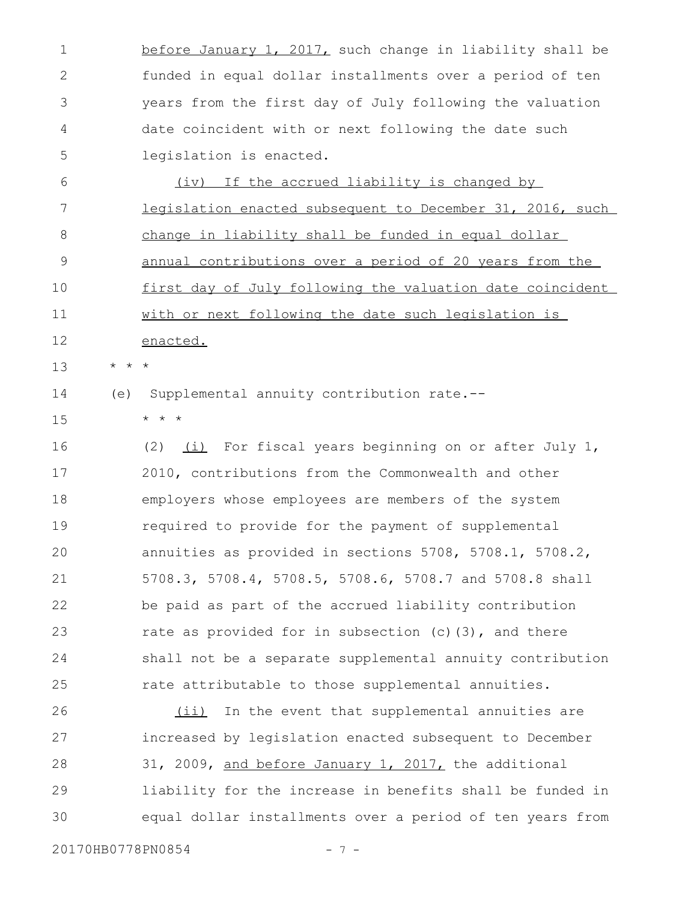before January 1, 2017, such change in liability shall be funded in equal dollar installments over a period of ten years from the first day of July following the valuation date coincident with or next following the date such legislation is enacted. (iv) If the accrued liability is changed by legislation enacted subsequent to December 31, 2016, such change in liability shall be funded in equal dollar annual contributions over a period of 20 years from the first day of July following the valuation date coincident with or next following the date such legislation is enacted. \* \* \* (e) Supplemental annuity contribution rate.-- \* \* \* (2)  $(i)$  For fiscal years beginning on or after July 1, 2010, contributions from the Commonwealth and other employers whose employees are members of the system required to provide for the payment of supplemental annuities as provided in sections 5708, 5708.1, 5708.2, 5708.3, 5708.4, 5708.5, 5708.6, 5708.7 and 5708.8 shall be paid as part of the accrued liability contribution rate as provided for in subsection (c)(3), and there shall not be a separate supplemental annuity contribution rate attributable to those supplemental annuities. (ii) In the event that supplemental annuities are increased by legislation enacted subsequent to December 31, 2009, and before January 1, 2017, the additional liability for the increase in benefits shall be funded in equal dollar installments over a period of ten years from 1 2 3 4 5 6 7 8 9 10 11 12 13 14 15 16 17 18 19 20 21 22 23 24 25 26 27 28 29 30

20170HB0778PN0854 - 7 -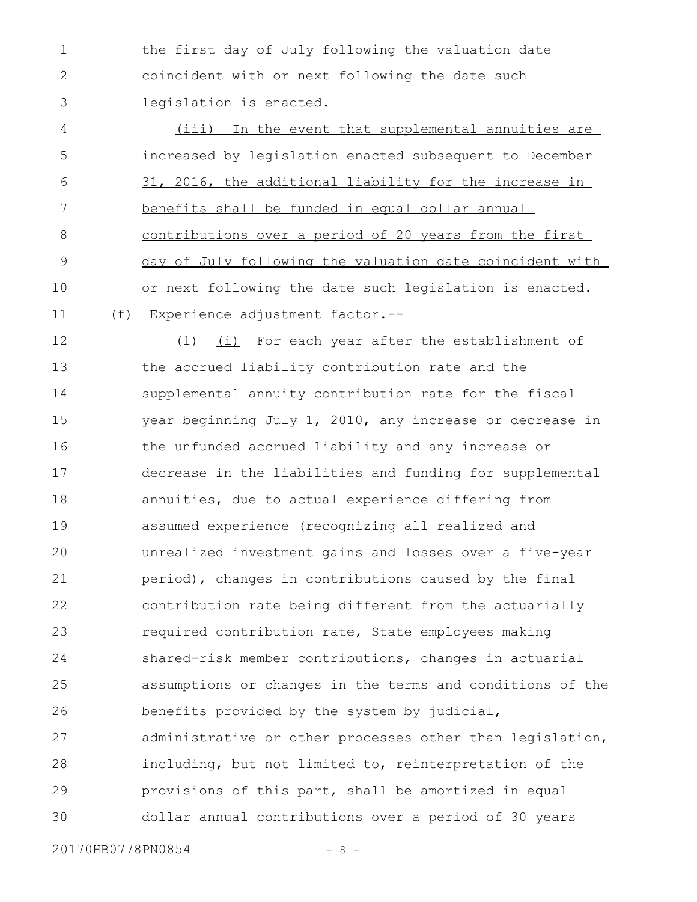the first day of July following the valuation date coincident with or next following the date such legislation is enacted. 1 2 3

(iii) In the event that supplemental annuities are increased by legislation enacted subsequent to December 31, 2016, the additional liability for the increase in benefits shall be funded in equal dollar annual contributions over a period of 20 years from the first day of July following the valuation date coincident with or next following the date such legislation is enacted. (f) Experience adjustment factor.-- 4 5 6 7 8 9 10 11

(1)  $(i)$  For each year after the establishment of the accrued liability contribution rate and the supplemental annuity contribution rate for the fiscal year beginning July 1, 2010, any increase or decrease in the unfunded accrued liability and any increase or decrease in the liabilities and funding for supplemental annuities, due to actual experience differing from assumed experience (recognizing all realized and unrealized investment gains and losses over a five-year period), changes in contributions caused by the final contribution rate being different from the actuarially required contribution rate, State employees making shared-risk member contributions, changes in actuarial assumptions or changes in the terms and conditions of the benefits provided by the system by judicial, administrative or other processes other than legislation, including, but not limited to, reinterpretation of the provisions of this part, shall be amortized in equal dollar annual contributions over a period of 30 years 12 13 14 15 16 17 18 19 20 21 22 23 24 25 26 27 28 29 30

20170HB0778PN0854 - 8 -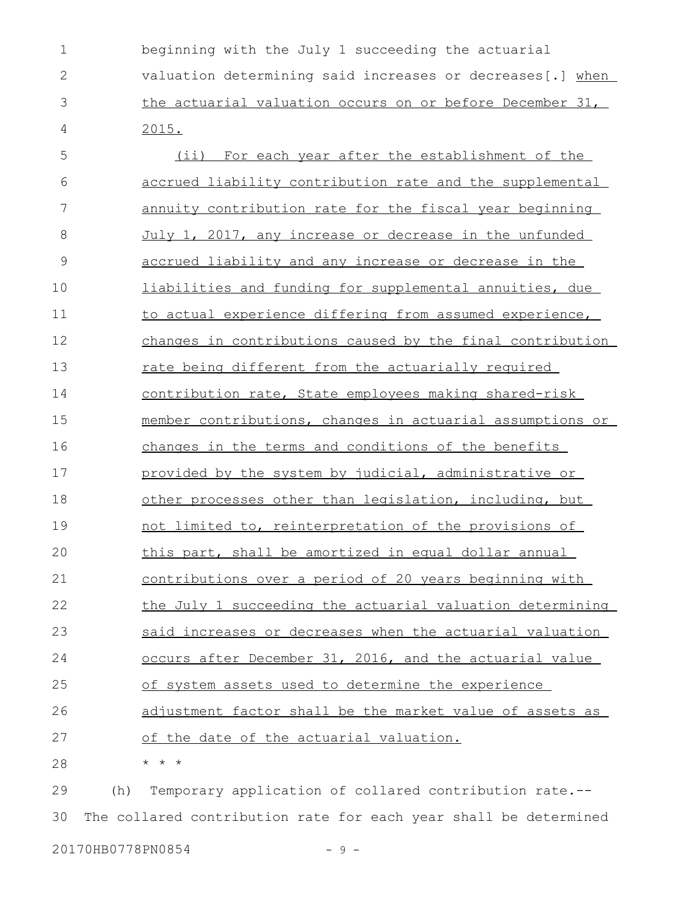beginning with the July 1 succeeding the actuarial valuation determining said increases or decreases[.] when the actuarial valuation occurs on or before December 31, 2015. 1 2 3 4

(ii) For each year after the establishment of the accrued liability contribution rate and the supplemental annuity contribution rate for the fiscal year beginning July 1, 2017, any increase or decrease in the unfunded accrued liability and any increase or decrease in the liabilities and funding for supplemental annuities, due to actual experience differing from assumed experience, changes in contributions caused by the final contribution rate being different from the actuarially required contribution rate, State employees making shared-risk member contributions, changes in actuarial assumptions or changes in the terms and conditions of the benefits provided by the system by judicial, administrative or other processes other than legislation, including, but not limited to, reinterpretation of the provisions of this part, shall be amortized in equal dollar annual contributions over a period of 20 years beginning with the July 1 succeeding the actuarial valuation determining said increases or decreases when the actuarial valuation occurs after December 31, 2016, and the actuarial value of system assets used to determine the experience adjustment factor shall be the market value of assets as of the date of the actuarial valuation. \* \* \* (h) Temporary application of collared contribution rate.-- 5 6 7 8 9 10 11 12 13 14 15 16 17 18 19 20 21 22 23 24 25 26 27 28 29

The collared contribution rate for each year shall be determined 30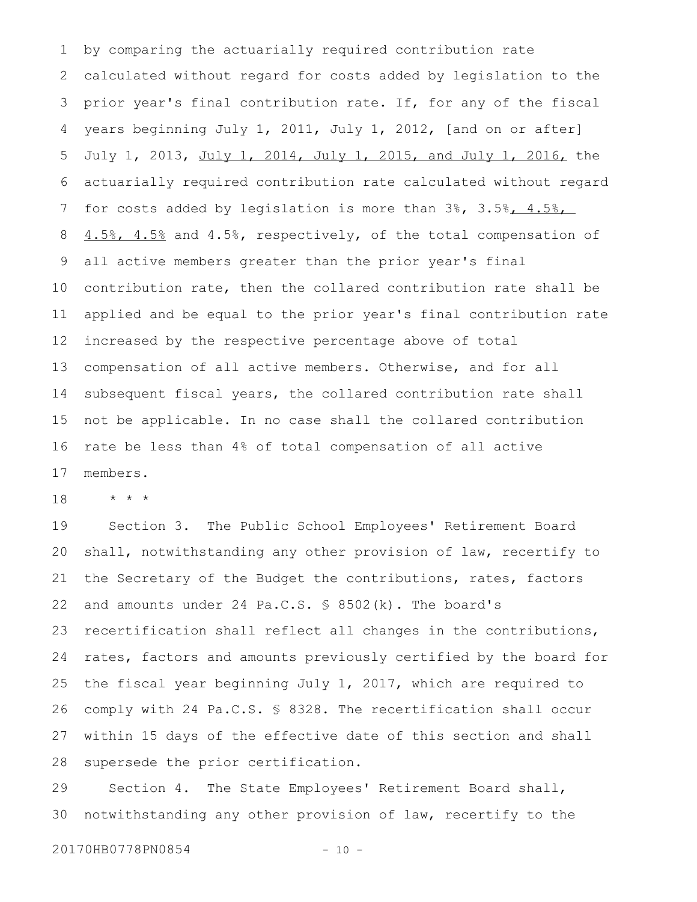by comparing the actuarially required contribution rate calculated without regard for costs added by legislation to the prior year's final contribution rate. If, for any of the fiscal years beginning July 1, 2011, July 1, 2012, [and on or after] July 1, 2013, July 1, 2014, July 1, 2015, and July 1, 2016, the actuarially required contribution rate calculated without regard for costs added by legislation is more than 3%, 3.5%, 4.5%, 4.5%, 4.5% and 4.5%, respectively, of the total compensation of all active members greater than the prior year's final contribution rate, then the collared contribution rate shall be applied and be equal to the prior year's final contribution rate increased by the respective percentage above of total compensation of all active members. Otherwise, and for all subsequent fiscal years, the collared contribution rate shall not be applicable. In no case shall the collared contribution rate be less than 4% of total compensation of all active members. 1 2 3 4 5 6 7 8 9 10 11 12 13 14 15 16 17

\* \* \* 18

Section 3. The Public School Employees' Retirement Board shall, notwithstanding any other provision of law, recertify to the Secretary of the Budget the contributions, rates, factors and amounts under 24 Pa.C.S. § 8502(k). The board's recertification shall reflect all changes in the contributions, rates, factors and amounts previously certified by the board for the fiscal year beginning July 1, 2017, which are required to comply with 24 Pa.C.S. § 8328. The recertification shall occur within 15 days of the effective date of this section and shall supersede the prior certification. 19 20 21 22 23 24 25 26 27 28

Section 4. The State Employees' Retirement Board shall, notwithstanding any other provision of law, recertify to the 29 30

20170HB0778PN0854 - 10 -